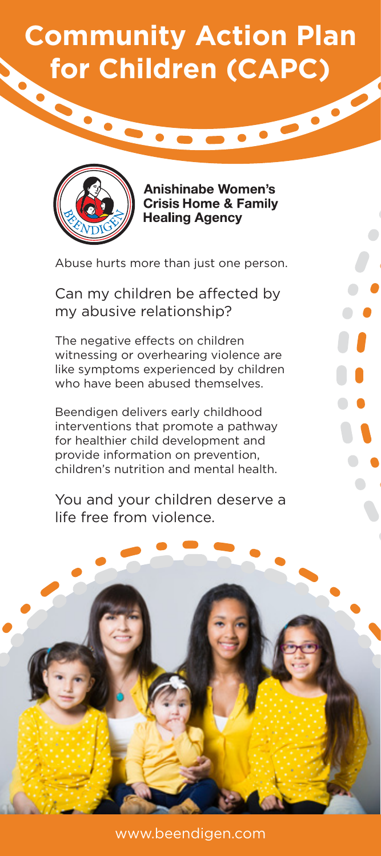## **Community Action Plan** for Children (CAPC)



**Anishinabe Women's Crisis Home & Family Healing Agency** 

Abuse hurts more than just one person.

Can my children be affected by my abusive relationship?

The negative effects on children witnessing or overhearing violence are like symptoms experienced by children who have been abused themselves.

Beendigen delivers early childhood interventions that promote a pathway for healthier child development and provide information on prevention, children's nutrition and mental health.

You and your children deserve a life free from violence.

www.beendigen.com